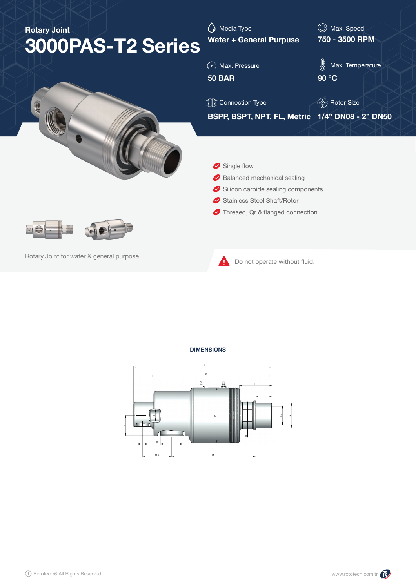| <b>Rotary Joint</b><br>3000PAS-T2 Series | Media Type<br><b>Water + General Purpuse</b>                                                                                        | Max. Speed<br>$\circled{C}$<br>750 - 3500 RPM |  |  |  |  |
|------------------------------------------|-------------------------------------------------------------------------------------------------------------------------------------|-----------------------------------------------|--|--|--|--|
|                                          | $\circled{\color{red}6}$ Max. Pressure<br><b>50 BAR</b>                                                                             | 悲<br>Max. Temperature<br>90 °C                |  |  |  |  |
|                                          | <b>TE</b> Connection Type                                                                                                           | (- ) Rotor Size                               |  |  |  |  |
|                                          | BSPP, BSPT, NPT, FL, Metric 1/4" DN08 - 2" DN50<br>Single flow<br>Balanced mechanical sealing<br>Silicon carbide sealing components |                                               |  |  |  |  |
|                                          | Stainless Steel Shaft/Rotor                                                                                                         |                                               |  |  |  |  |
|                                          | Threaed, Qr & flanged connection                                                                                                    |                                               |  |  |  |  |
| Rotary Joint for water & general purpose | Do not operate without fluid.                                                                                                       |                                               |  |  |  |  |

**DIMENSIONS**